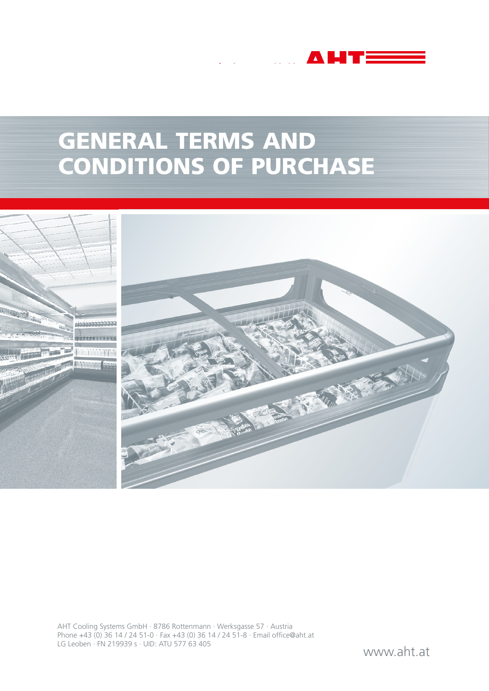# GENERAL TERMS AND CONDITIONS OF PURCHASE

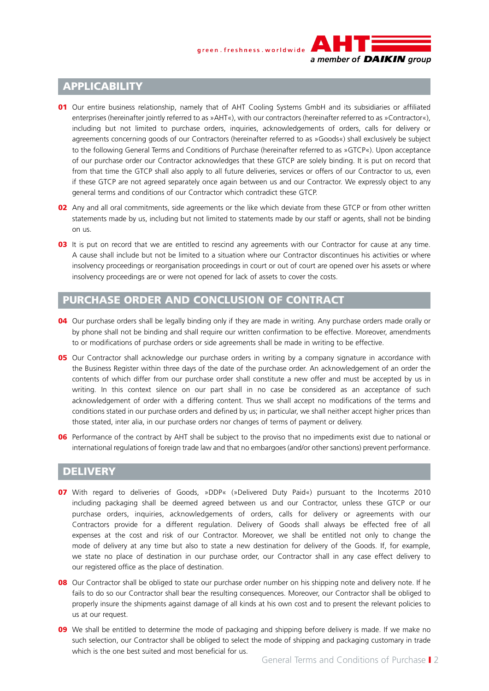#### green.freshness.worldwide



## **APPLICABILITY**

- 01 Our entire business relationship, namely that of AHT Cooling Systems GmbH and its subsidiaries or affiliated enterprises (hereinafter jointly referred to as »AHT«), with our contractors (hereinafter referred to as »Contractor«), including but not limited to purchase orders, inquiries, acknowledgements of orders, calls for delivery or agreements concerning goods of our Contractors (hereinafter referred to as »Goods«) shall exclusively be subject to the following General Terms and Conditions of Purchase (hereinafter referred to as »GTCP«). Upon acceptance of our purchase order our Contractor acknowledges that these GTCP are solely binding. It is put on record that from that time the GTCP shall also apply to all future deliveries, services or offers of our Contractor to us, even if these GTCP are not agreed separately once again between us and our Contractor. We expressly object to any general terms and conditions of our Contractor which contradict these GTCP.
- 02 Any and all oral commitments, side agreements or the like which deviate from these GTCP or from other written statements made by us, including but not limited to statements made by our staff or agents, shall not be binding on us.
- **03** It is put on record that we are entitled to rescind any agreements with our Contractor for cause at any time. A cause shall include but not be limited to a situation where our Contractor discontinues his activities or where insolvency proceedings or reorganisation proceedings in court or out of court are opened over his assets or where insolvency proceedings are or were not opened for lack of assets to cover the costs.

#### PURCHASE ORDER AND CONCLUSION OF CONTRACT

- 04 Our purchase orders shall be legally binding only if they are made in writing. Any purchase orders made orally or by phone shall not be binding and shall require our written confirmation to be effective. Moreover, amendments to or modifications of purchase orders or side agreements shall be made in writing to be effective.
- **05** Our Contractor shall acknowledge our purchase orders in writing by a company signature in accordance with the Business Register within three days of the date of the purchase order. An acknowledgement of an order the contents of which differ from our purchase order shall constitute a new offer and must be accepted by us in writing. In this context silence on our part shall in no case be considered as an acceptance of such acknowledgement of order with a differing content. Thus we shall accept no modifications of the terms and conditions stated in our purchase orders and defined by us; in particular, we shall neither accept higher prices than those stated, inter alia, in our purchase orders nor changes of terms of payment or delivery.
- **06** Performance of the contract by AHT shall be subject to the proviso that no impediments exist due to national or international regulations of foreign trade law and that no embargoes (and/or other sanctions) prevent performance.

#### **DELIVERY**

- 07 With regard to deliveries of Goods, »DDP« (»Delivered Duty Paid«) pursuant to the Incoterms 2010 including packaging shall be deemed agreed between us and our Contractor, unless these GTCP or our purchase orders, inquiries, acknowledgements of orders, calls for delivery or agreements with our Contractors provide for a different regulation. Delivery of Goods shall always be effected free of all expenses at the cost and risk of our Contractor. Moreover, we shall be entitled not only to change the mode of delivery at any time but also to state a new destination for delivery of the Goods. If, for example, we state no place of destination in our purchase order, our Contractor shall in any case effect delivery to our registered office as the place of destination.
- 08 Our Contractor shall be obliged to state our purchase order number on his shipping note and delivery note. If he fails to do so our Contractor shall bear the resulting consequences. Moreover, our Contractor shall be obliged to properly insure the shipments against damage of all kinds at his own cost and to present the relevant policies to us at our request.
- 09 We shall be entitled to determine the mode of packaging and shipping before delivery is made. If we make no such selection, our Contractor shall be obliged to select the mode of shipping and packaging customary in trade which is the one best suited and most beneficial for us.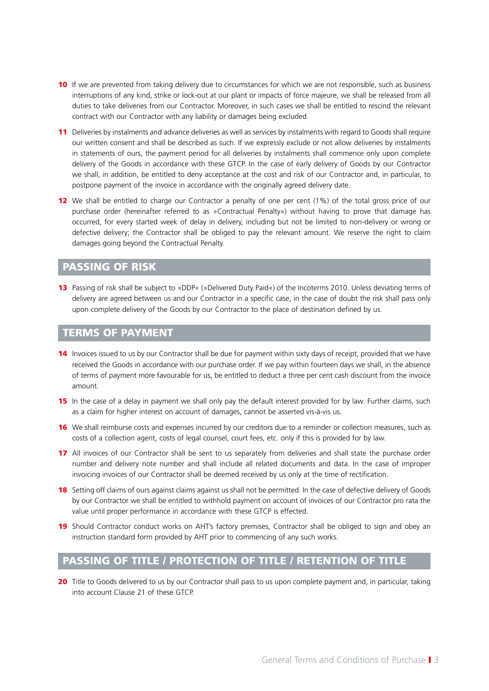- 10 If we are prevented from taking delivery due to circumstances for which we are not responsible, such as business interruptions of any kind, strike or lock-out at our plant or impacts of force majeure, we shall be released from all duties to take deliveries from our Contractor. Moreover, in such cases we shall be entitled to rescind the relevant contract with our Contractor with any liability or damages being excluded.
- 11 Deliveries by instalments and advance deliveries as well as services by instalments with regard to Goods shall require our written consent and shall be described as such. If we expressly exclude or not allow deliveries by instalments in statements of ours, the payment period for all deliveries by instalments shall commence only upon complete delivery of the Goods in accordance with these GTCP. In the case of early delivery of Goods by our Contractor we shall, in addition, be entitled to deny acceptance at the cost and risk of our Contractor and, in particular, to postpone payment of the invoice in accordance with the originally agreed delivery date.
- 12 We shall be entitled to charge our Contractor a penalty of one per cent (1%) of the total gross price of our purchase order (hereinafter referred to as »Contractual Penalty«) without having to prove that damage has occurred, for every started week of delay in delivery, including but not be limited to non-delivery or wrong or defective delivery; the Contractor shall be obliged to pay the relevant amount. We reserve the right to claim damages going beyond the Contractual Penalty.

# PASSING OF RISK

13 Passing of risk shall be subject to »DDP« (»Delivered Duty Paid«) of the Incoterms 2010. Unless deviating terms of delivery are agreed between us and our Contractor in a specific case, in the case of doubt the risk shall pass only upon complete delivery of the Goods by our Contractor to the place of destination defined by us.

#### TERMS OF PAYMENT

- 14 Invoices issued to us by our Contractor shall be due for payment within sixty days of receipt, provided that we have received the Goods in accordance with our purchase order. If we pay within fourteen days we shall, in the absence of terms of payment more favourable for us, be entitled to deduct a three per cent cash discount from the invoice amount.
- 15 In the case of a delay in payment we shall only pay the default interest provided for by law. Further claims, such as a claim for higher interest on account of damages, cannot be asserted vis-à-vis us.
- **16** We shall reimburse costs and expenses incurred by our creditors due to a reminder or collection measures, such as costs of a collection agent, costs of legal counsel, court fees, etc. only if this is provided for by law.
- 17 All invoices of our Contractor shall be sent to us separately from deliveries and shall state the purchase order number and delivery note number and shall include all related documents and data. In the case of improper invoicing invoices of our Contractor shall be deemed received by us only at the time of rectification.
- 18 Setting off claims of ours against claims against us shall not be permitted. In the case of defective delivery of Goods by our Contractor we shall be entitled to withhold payment on account of invoices of our Contractor pro rata the value until proper performance in accordance with these GTCP is effected.
- 19 Should Contractor conduct works on AHT's factory premises, Contractor shall be obliged to sign and obey an instruction standard form provided by AHT prior to commencing of any such works.

# PASSING OF TITLE / PROTECTION OF TITLE / RETENTION OF TITLE

20 Title to Goods delivered to us by our Contractor shall pass to us upon complete payment and, in particular, taking into account Clause 21 of these GTCP.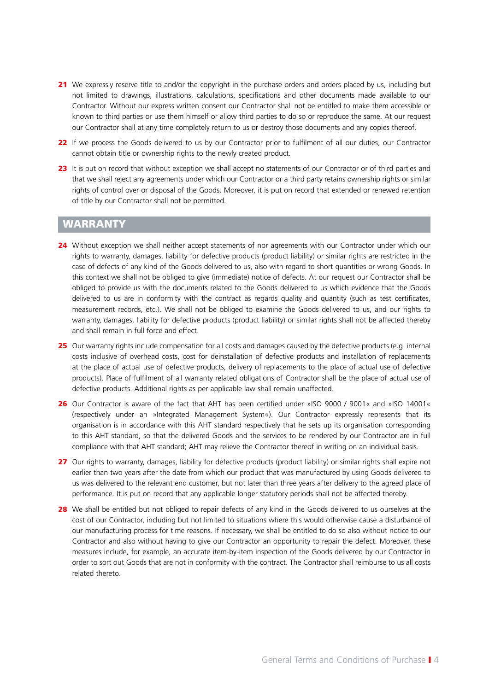- 21 We expressly reserve title to and/or the copyright in the purchase orders and orders placed by us, including but not limited to drawings, illustrations, calculations, specifications and other documents made available to our Contractor. Without our express written consent our Contractor shall not be entitled to make them accessible or known to third parties or use them himself or allow third parties to do so or reproduce the same. At our request our Contractor shall at any time completely return to us or destroy those documents and any copies thereof.
- 22 If we process the Goods delivered to us by our Contractor prior to fulfilment of all our duties, our Contractor cannot obtain title or ownership rights to the newly created product.
- 23 It is put on record that without exception we shall accept no statements of our Contractor or of third parties and that we shall reject any agreements under which our Contractor or a third party retains ownership rights or similar rights of control over or disposal of the Goods. Moreover, it is put on record that extended or renewed retention of title by our Contractor shall not be permitted.

#### WARRANTY

- 24 Without exception we shall neither accept statements of nor agreements with our Contractor under which our rights to warranty, damages, liability for defective products (product liability) or similar rights are restricted in the case of defects of any kind of the Goods delivered to us, also with regard to short quantities or wrong Goods. In this context we shall not be obliged to give (immediate) notice of defects. At our request our Contractor shall be obliged to provide us with the documents related to the Goods delivered to us which evidence that the Goods delivered to us are in conformity with the contract as regards quality and quantity (such as test certificates, measurement records, etc.). We shall not be obliged to examine the Goods delivered to us, and our rights to warranty, damages, liability for defective products (product liability) or similar rights shall not be affected thereby and shall remain in full force and effect.
- 25 Our warranty rights include compensation for all costs and damages caused by the defective products (e.g. internal costs inclusive of overhead costs, cost for deinstallation of defective products and installation of replacements at the place of actual use of defective products, delivery of replacements to the place of actual use of defective products). Place of fulfilment of all warranty related obligations of Contractor shall be the place of actual use of defective products. Additional rights as per applicable law shall remain unaffected.
- 26 Our Contractor is aware of the fact that AHT has been certified under »ISO 9000 / 9001« and »ISO 14001« (respectively under an »Integrated Management System«). Our Contractor expressly represents that its organisation is in accordance with this AHT standard respectively that he sets up its organisation corresponding to this AHT standard, so that the delivered Goods and the services to be rendered by our Contractor are in full compliance with that AHT standard; AHT may relieve the Contractor thereof in writing on an individual basis.
- 27 Our rights to warranty, damages, liability for defective products (product liability) or similar rights shall expire not earlier than two years after the date from which our product that was manufactured by using Goods delivered to us was delivered to the relevant end customer, but not later than three years after delivery to the agreed place of performance. It is put on record that any applicable longer statutory periods shall not be affected thereby.
- 28 We shall be entitled but not obliged to repair defects of any kind in the Goods delivered to us ourselves at the cost of our Contractor, including but not limited to situations where this would otherwise cause a disturbance of our manufacturing process for time reasons. If necessary, we shall be entitled to do so also without notice to our Contractor and also without having to give our Contractor an opportunity to repair the defect. Moreover, these measures include, for example, an accurate item-by-item inspection of the Goods delivered by our Contractor in order to sort out Goods that are not in conformity with the contract. The Contractor shall reimburse to us all costs related thereto.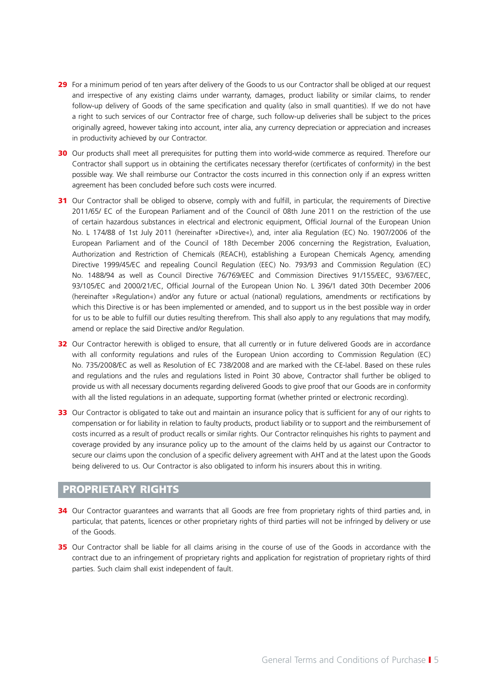- 29 For a minimum period of ten years after delivery of the Goods to us our Contractor shall be obliged at our request and irrespective of any existing claims under warranty, damages, product liability or similar claims, to render follow-up delivery of Goods of the same specification and quality (also in small quantities). If we do not have a right to such services of our Contractor free of charge, such follow-up deliveries shall be subject to the prices originally agreed, however taking into account, inter alia, any currency depreciation or appreciation and increases in productivity achieved by our Contractor.
- 30 Our products shall meet all prerequisites for putting them into world-wide commerce as required. Therefore our Contractor shall support us in obtaining the certificates necessary therefor (certificates of conformity) in the best possible way. We shall reimburse our Contractor the costs incurred in this connection only if an express written agreement has been concluded before such costs were incurred.
- 31 Our Contractor shall be obliged to observe, comply with and fulfill, in particular, the requirements of Directive 2011/65/ EC of the European Parliament and of the Council of 08th June 2011 on the restriction of the use of certain hazardous substances in electrical and electronic equipment, Official Journal of the European Union No. L 174/88 of 1st July 2011 (hereinafter »Directive«), and, inter alia Regulation (EC) No. 1907/2006 of the European Parliament and of the Council of 18th December 2006 concerning the Registration, Evaluation, Authorization and Restriction of Chemicals (REACH), establishing a European Chemicals Agency, amending Directive 1999/45/EC and repealing Council Regulation (EEC) No. 793/93 and Commission Regulation (EC) No. 1488/94 as well as Council Directive 76/769/EEC and Commission Directives 91/155/EEC, 93/67/EEC, 93/105/EC and 2000/21/EC, Official Journal of the European Union No. L 396/1 dated 30th December 2006 (hereinafter »Regulation«) and/or any future or actual (national) regulations, amendments or rectifications by which this Directive is or has been implemented or amended, and to support us in the best possible way in order for us to be able to fulfill our duties resulting therefrom. This shall also apply to any regulations that may modify, amend or replace the said Directive and/or Regulation.
- 32 Our Contractor herewith is obliged to ensure, that all currently or in future delivered Goods are in accordance with all conformity regulations and rules of the European Union according to Commission Regulation (EC) No. 735/2008/EC as well as Resolution of EC 738/2008 and are marked with the CE-label. Based on these rules and regulations and the rules and regulations listed in Point 30 above, Contractor shall further be obliged to provide us with all necessary documents regarding delivered Goods to give proof that our Goods are in conformity with all the listed regulations in an adequate, supporting format (whether printed or electronic recording).
- 33 Our Contractor is obligated to take out and maintain an insurance policy that is sufficient for any of our rights to compensation or for liability in relation to faulty products, product liability or to support and the reimbursement of costs incurred as a result of product recalls or similar rights. Our Contractor relinquishes his rights to payment and coverage provided by any insurance policy up to the amount of the claims held by us against our Contractor to secure our claims upon the conclusion of a specific delivery agreement with AHT and at the latest upon the Goods being delivered to us. Our Contractor is also obligated to inform his insurers about this in writing.

#### PROPRIETARY RIGHTS

- 34 Our Contractor guarantees and warrants that all Goods are free from proprietary rights of third parties and, in particular, that patents, licences or other proprietary rights of third parties will not be infringed by delivery or use of the Goods.
- 35 Our Contractor shall be liable for all claims arising in the course of use of the Goods in accordance with the contract due to an infringement of proprietary rights and application for registration of proprietary rights of third parties. Such claim shall exist independent of fault.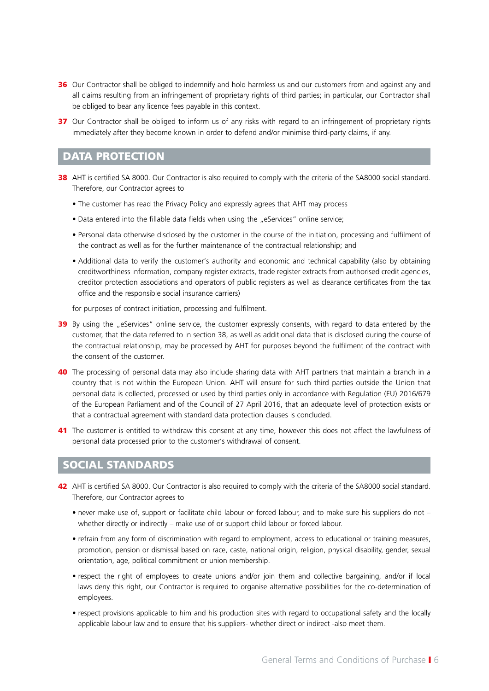- 36 Our Contractor shall be obliged to indemnify and hold harmless us and our customers from and against any and all claims resulting from an infringement of proprietary rights of third parties; in particular, our Contractor shall be obliged to bear any licence fees payable in this context.
- 37 Our Contractor shall be obliged to inform us of any risks with regard to an infringement of proprietary rights immediately after they become known in order to defend and/or minimise third-party claims, if any.

### DATA PROTECTION

- 38 AHT is certified SA 8000. Our Contractor is also required to comply with the criteria of the SA8000 social standard. Therefore, our Contractor agrees to
	- The customer has read the Privacy Policy and expressly agrees that AHT may process
	- Data entered into the fillable data fields when using the "eServices" online service;
	- Personal data otherwise disclosed by the customer in the course of the initiation, processing and fulfilment of the contract as well as for the further maintenance of the contractual relationship; and
	- Additional data to verify the customer's authority and economic and technical capability (also by obtaining creditworthiness information, company register extracts, trade register extracts from authorised credit agencies, creditor protection associations and operators of public registers as well as clearance certificates from the tax office and the responsible social insurance carriers)

for purposes of contract initiation, processing and fulfilment.

- 39 By using the "eServices" online service, the customer expressly consents, with regard to data entered by the customer, that the data referred to in section 38, as well as additional data that is disclosed during the course of the contractual relationship, may be processed by AHT for purposes beyond the fulfilment of the contract with the consent of the customer.
- 40 The processing of personal data may also include sharing data with AHT partners that maintain a branch in a country that is not within the European Union. AHT will ensure for such third parties outside the Union that personal data is collected, processed or used by third parties only in accordance with Regulation (EU) 2016/679 of the European Parliament and of the Council of 27 April 2016, that an adequate level of protection exists or that a contractual agreement with standard data protection clauses is concluded.
- 41 The customer is entitled to withdraw this consent at any time, however this does not affect the lawfulness of personal data processed prior to the customer's withdrawal of consent.

#### SOCIAL STANDARDS

- 42 AHT is certified SA 8000. Our Contractor is also required to comply with the criteria of the SA8000 social standard. Therefore, our Contractor agrees to
	- never make use of, support or facilitate child labour or forced labour, and to make sure his suppliers do not whether directly or indirectly – make use of or support child labour or forced labour.
	- refrain from any form of discrimination with regard to employment, access to educational or training measures, promotion, pension or dismissal based on race, caste, national origin, religion, physical disability, gender, sexual orientation, age, political commitment or union membership.
	- respect the right of employees to create unions and/or join them and collective bargaining, and/or if local laws deny this right, our Contractor is required to organise alternative possibilities for the co-determination of employees.
	- respect provisions applicable to him and his production sites with regard to occupational safety and the locally applicable labour law and to ensure that his suppliers- whether direct or indirect -also meet them.